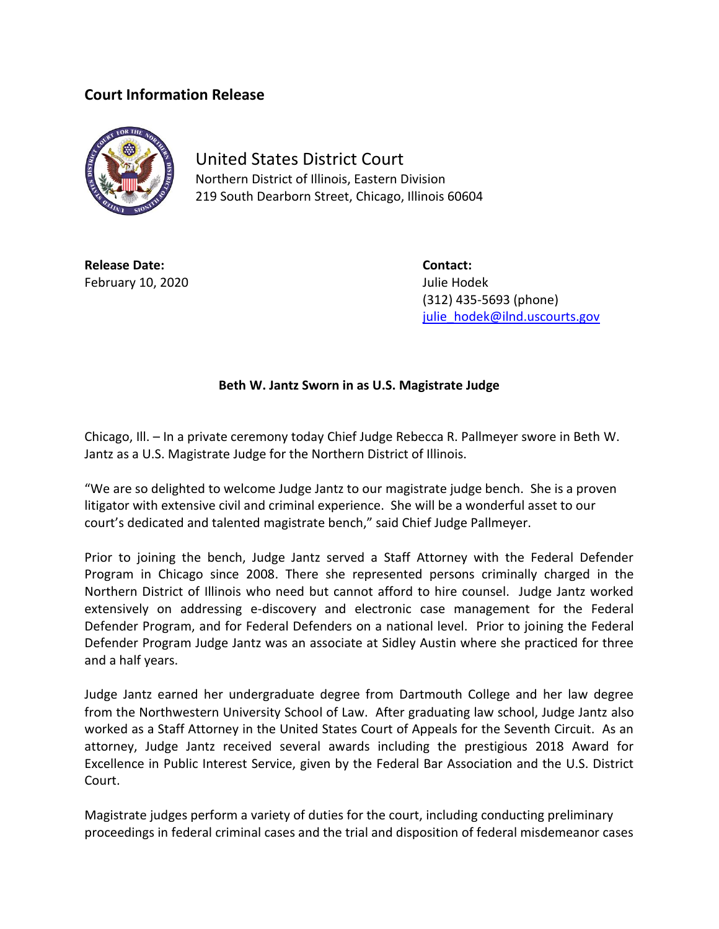## **Court Information Release**



United States District Court Northern District of Illinois, Eastern Division 219 South Dearborn Street, Chicago, Illinois 60604

**Release Date: Contact:** February 10, 2020 **Julie Hodek** 

(312) 435-5693 (phone) [julie\\_hodek@ilnd.uscourts.gov](mailto:julie_hodek@ilnd.uscourts.gov)

## **Beth W. Jantz Sworn in as U.S. Magistrate Judge**

Chicago, Ill. – In a private ceremony today Chief Judge Rebecca R. Pallmeyer swore in Beth W. Jantz as a U.S. Magistrate Judge for the Northern District of Illinois.

"We are so delighted to welcome Judge Jantz to our magistrate judge bench. She is a proven litigator with extensive civil and criminal experience. She will be a wonderful asset to our court's dedicated and talented magistrate bench," said Chief Judge Pallmeyer.

Prior to joining the bench, Judge Jantz served a Staff Attorney with the Federal Defender Program in Chicago since 2008. There she represented persons criminally charged in the Northern District of Illinois who need but cannot afford to hire counsel. Judge Jantz worked extensively on addressing e-discovery and electronic case management for the Federal Defender Program, and for Federal Defenders on a national level. Prior to joining the Federal Defender Program Judge Jantz was an associate at Sidley Austin where she practiced for three and a half years.

Judge Jantz earned her undergraduate degree from Dartmouth College and her law degree from the Northwestern University School of Law. After graduating law school, Judge Jantz also worked as a Staff Attorney in the United States Court of Appeals for the Seventh Circuit. As an attorney, Judge Jantz received several awards including the prestigious 2018 Award for Excellence in Public Interest Service, given by the Federal Bar Association and the U.S. District Court.

Magistrate judges perform a variety of duties for the court, including conducting preliminary proceedings in federal criminal cases and the trial and disposition of federal misdemeanor cases